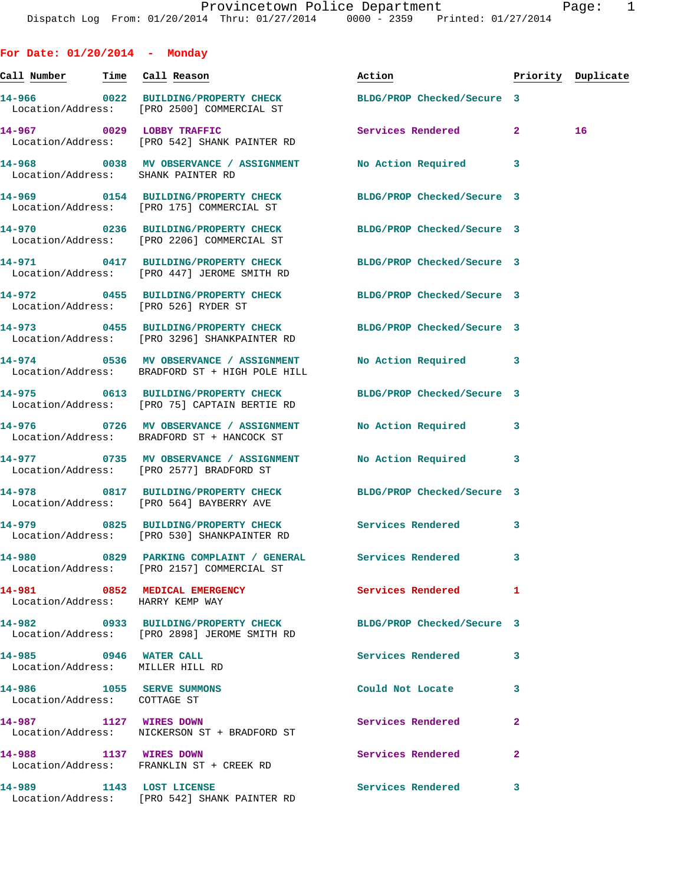| For Date: $01/20/2014$ - Monday                                   |                                                                                                                |                            |              |                    |
|-------------------------------------------------------------------|----------------------------------------------------------------------------------------------------------------|----------------------------|--------------|--------------------|
| <u>Call Number — Time Call Reason</u>                             |                                                                                                                | Action                     |              | Priority Duplicate |
|                                                                   | 14-966 0022 BUILDING/PROPERTY CHECK<br>Location/Address: [PRO 2500] COMMERCIAL ST                              | BLDG/PROP Checked/Secure 3 |              |                    |
|                                                                   | 14-967 0029 LOBBY TRAFFIC<br>Location/Address: [PRO 542] SHANK PAINTER RD                                      | Services Rendered 2        |              | 16                 |
| Location/Address: SHANK PAINTER RD                                | 14-968 0038 MV OBSERVANCE / ASSIGNMENT No Action Required 3                                                    |                            |              |                    |
|                                                                   | 14-969 0154 BUILDING/PROPERTY CHECK<br>Location/Address: [PRO 175] COMMERCIAL ST                               | BLDG/PROP Checked/Secure 3 |              |                    |
|                                                                   | 14-970 0236 BUILDING/PROPERTY CHECK BLDG/PROP Checked/Secure 3<br>Location/Address: [PRO 2206] COMMERCIAL ST   |                            |              |                    |
|                                                                   | 14-971 0417 BUILDING/PROPERTY CHECK BLDG/PROP Checked/Secure 3<br>Location/Address: [PRO 447] JEROME SMITH RD  |                            |              |                    |
| Location/Address: [PRO 526] RYDER ST                              | 14-972 0455 BUILDING/PROPERTY CHECK BLDG/PROP Checked/Secure 3                                                 |                            |              |                    |
|                                                                   | 14-973 0455 BUILDING/PROPERTY CHECK BLDG/PROP Checked/Secure 3<br>Location/Address: [PRO 3296] SHANKPAINTER RD |                            |              |                    |
|                                                                   | 14-974 0536 MV OBSERVANCE / ASSIGNMENT<br>Location/Address: BRADFORD ST + HIGH POLE HILL                       | No Action Required         | 3            |                    |
|                                                                   | 14-975 0613 BUILDING/PROPERTY CHECK BLDG/PROP Checked/Secure 3<br>Location/Address: [PRO 75] CAPTAIN BERTIE RD |                            |              |                    |
|                                                                   | 14-976 0726 MV OBSERVANCE / ASSIGNMENT<br>Location/Address: BRADFORD ST + HANCOCK ST                           | <b>No Action Required</b>  | 3            |                    |
|                                                                   | 14-977 0735 MV OBSERVANCE / ASSIGNMENT<br>Location/Address: [PRO 2577] BRADFORD ST                             | No Action Required 3       |              |                    |
|                                                                   | 14-978 0817 BUILDING/PROPERTY CHECK BLDG/PROP Checked/Secure 3<br>Location/Address: [PRO 564] BAYBERRY AVE     |                            |              |                    |
|                                                                   | 14-979 0825 BUILDING/PROPERTY CHECK Services Rendered<br>Location/Address: [PRO 530] SHANKPAINTER RD           |                            | 3            |                    |
|                                                                   | Location/Address: [PRO 2157] COMMERCIAL ST                                                                     |                            | 3            |                    |
| 14-981 0852 MEDICAL EMERGENCY<br>Location/Address: HARRY KEMP WAY |                                                                                                                | <b>Services Rendered</b>   | 1            |                    |
|                                                                   | 14-982 0933 BUILDING/PROPERTY CHECK BLDG/PROP Checked/Secure 3<br>Location/Address: [PRO 2898] JEROME SMITH RD |                            |              |                    |
| 14-985 0946 WATER CALL<br>Location/Address: MILLER HILL RD        |                                                                                                                | <b>Services Rendered</b>   | 3            |                    |
| 14-986 1055 SERVE SUMMONS<br>Location/Address: COTTAGE ST         |                                                                                                                | Could Not Locate           | 3            |                    |
| 14-987 1127 WIRES DOWN                                            | Location/Address: NICKERSON ST + BRADFORD ST                                                                   | Services Rendered          | $\mathbf{2}$ |                    |
| 14-988 1137 WIRES DOWN                                            | Location/Address: FRANKLIN ST + CREEK RD                                                                       | Services Rendered          | $\mathbf{2}$ |                    |
| 14-989 1143 LOST LICENSE                                          | Location/Address: [PRO 542] SHANK PAINTER RD                                                                   | Services Rendered          | 3            |                    |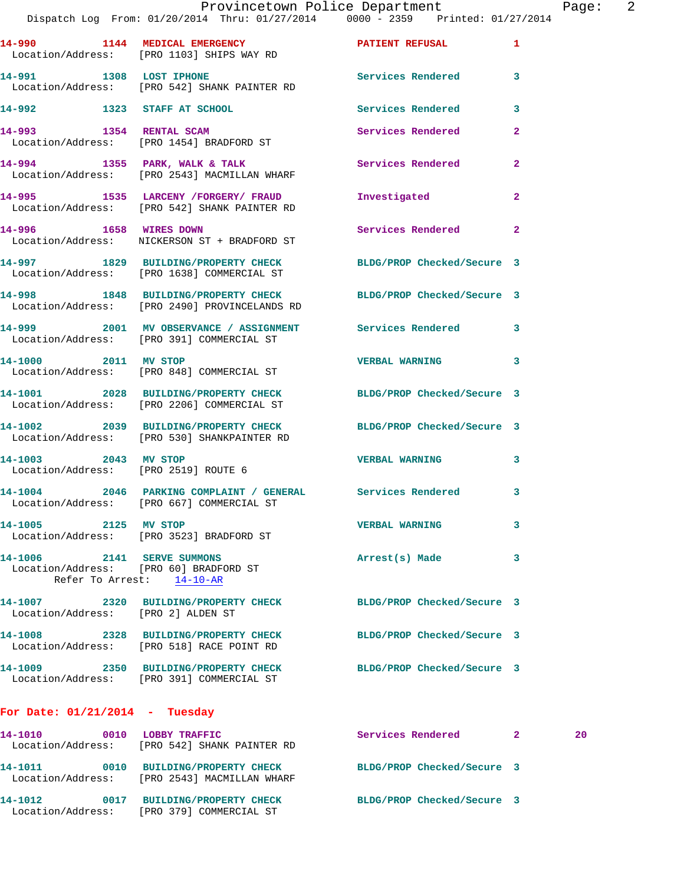|                                                                      | Dispatch Log From: 01/20/2014 Thru: 01/27/2014 0000 - 2359 Printed: 01/27/2014                                  | Provincetown Police Department |                         | Page: 2 |  |
|----------------------------------------------------------------------|-----------------------------------------------------------------------------------------------------------------|--------------------------------|-------------------------|---------|--|
|                                                                      | 14-990 1144 MEDICAL EMERGENCY 1 PATIENT REFUSAL 1<br>Location/Address: [PRO 1103] SHIPS WAY RD                  |                                |                         |         |  |
|                                                                      | 14-991 1308 LOST IPHONE 2008 Services Rendered 3<br>Location/Address: [PRO 542] SHANK PAINTER RD                |                                |                         |         |  |
|                                                                      | 14-992 1323 STAFF AT SCHOOL                                                                                     | Services Rendered              | $\overline{\mathbf{3}}$ |         |  |
|                                                                      | 14-993 1354 RENTAL SCAM<br>Location/Address: [PRO 1454] BRADFORD ST                                             | Services Rendered              | $\mathbf{2}$            |         |  |
|                                                                      | 14-994 1355 PARK, WALK & TALK 1999 Services Rendered<br>Location/Address: [PRO 2543] MACMILLAN WHARF            |                                | $\mathbf{2}$            |         |  |
|                                                                      | 14-995 1535 LARCENY /FORGERY / FRAUD<br>Location/Address: [PRO 542] SHANK PAINTER RD                            | Investigated                   | $\mathbf{2}$            |         |  |
|                                                                      | 14-996 1658 WIRES DOWN<br>Location/Address: NICKERSON ST + BRADFORD ST                                          | Services Rendered 2            |                         |         |  |
|                                                                      | 14-997 1829 BUILDING/PROPERTY CHECK BLDG/PROP Checked/Secure 3<br>Location/Address: [PRO 1638] COMMERCIAL ST    |                                |                         |         |  |
|                                                                      | 14-998 1848 BUILDING/PROPERTY CHECK BLDG/PROP Checked/Secure 3<br>Location/Address: [PRO 2490] PROVINCELANDS RD |                                |                         |         |  |
|                                                                      | 14-999 2001 MV OBSERVANCE / ASSIGNMENT Services Rendered 3<br>Location/Address: [PRO 391] COMMERCIAL ST         |                                |                         |         |  |
| 14-1000 2011 MV STOP                                                 | Location/Address: [PRO 848] COMMERCIAL ST                                                                       | VERBAL WARNING 3               |                         |         |  |
|                                                                      | 14-1001 2028 BUILDING/PROPERTY CHECK BLDG/PROP Checked/Secure 3<br>Location/Address: [PRO 2206] COMMERCIAL ST   |                                |                         |         |  |
|                                                                      | 14-1002 2039 BUILDING/PROPERTY CHECK BLDG/PROP Checked/Secure 3<br>Location/Address: [PRO 530] SHANKPAINTER RD  |                                |                         |         |  |
| Location/Address: [PRO 2519] ROUTE 6                                 | 14-1003 2043 MV STOP                                                                                            | <b>VERBAL WARNING</b>          | $\mathbf{3}$            |         |  |
|                                                                      | 14-1004 2046 PARKING COMPLAINT / GENERAL Services Rendered 3<br>Location/Address: [PRO 667] COMMERCIAL ST       |                                |                         |         |  |
| 14-1005 2125 MV STOP                                                 | Location/Address: [PRO 3523] BRADFORD ST                                                                        | <b>VERBAL WARNING</b>          | 3                       |         |  |
| 14-1006 2141 SERVE SUMMONS<br>Location/Address: [PRO 60] BRADFORD ST | Refer To Arrest: 14-10-AR                                                                                       | Arrest(s) Made                 | 3                       |         |  |
| Location/Address: [PRO 2] ALDEN ST                                   | 14-1007 2320 BUILDING/PROPERTY CHECK BLDG/PROP Checked/Secure 3                                                 |                                |                         |         |  |
|                                                                      | 14-1008 2328 BUILDING/PROPERTY CHECK BLDG/PROP Checked/Secure 3<br>Location/Address: [PRO 518] RACE POINT RD    |                                |                         |         |  |
|                                                                      | 14-1009 2350 BUILDING/PROPERTY CHECK BLDG/PROP Checked/Secure 3<br>Location/Address: [PRO 391] COMMERCIAL ST    |                                |                         |         |  |
| For Date: $01/21/2014$ - Tuesday                                     |                                                                                                                 |                                |                         |         |  |
|                                                                      | 14-1010 0010 LOBBY TRAFFIC<br>Location/Address: [PRO 542] SHANK PAINTER RD                                      | Services Rendered 2            |                         | 20      |  |
|                                                                      | 14-1011 0010 BUILDING/PROPERTY CHECK<br>Location/Address: [PRO 2543] MACMILLAN WHARF                            | BLDG/PROP Checked/Secure 3     |                         |         |  |

**14-1012 0017 BUILDING/PROPERTY CHECK BLDG/PROP Checked/Secure 3** 

Location/Address: [PRO 379] COMMERCIAL ST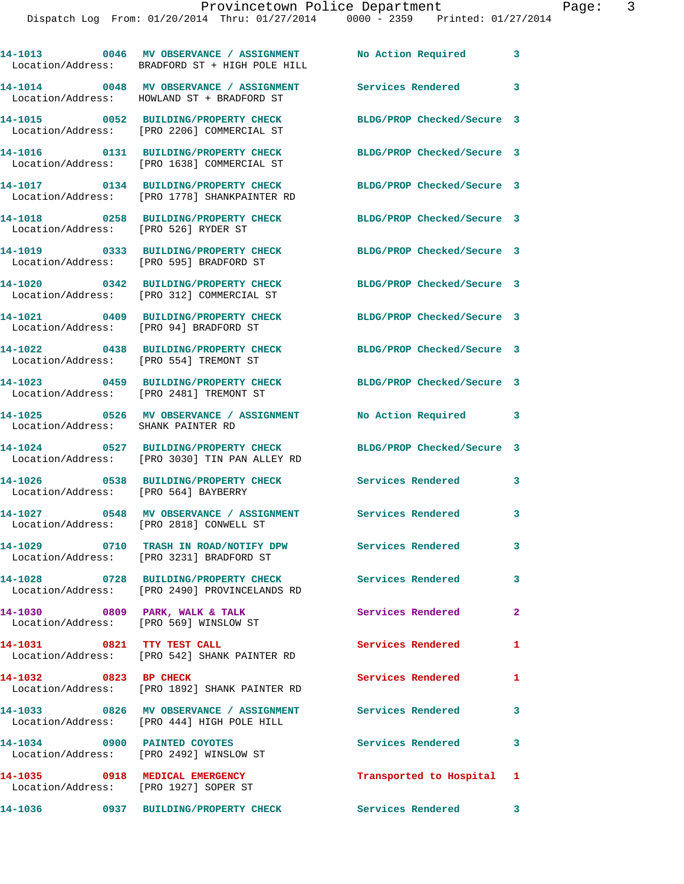|                            | 14-1013 0046 MV OBSERVANCE / ASSIGNMENT<br>Location/Address: BRADFORD ST + HIGH POLE HILL                  | No Action Required         | 3                       |
|----------------------------|------------------------------------------------------------------------------------------------------------|----------------------------|-------------------------|
|                            | 14-1014 0048 MV OBSERVANCE / ASSIGNMENT<br>Location/Address: HOWLAND ST + BRADFORD ST                      | Services Rendered 3        |                         |
|                            | 14-1015 0052 BUILDING/PROPERTY CHECK<br>Location/Address: [PRO 2206] COMMERCIAL ST                         | BLDG/PROP Checked/Secure 3 |                         |
|                            | 14-1016 0131 BUILDING/PROPERTY CHECK<br>Location/Address: [PRO 1638] COMMERCIAL ST                         | BLDG/PROP Checked/Secure 3 |                         |
|                            | 14-1017 0134 BUILDING/PROPERTY CHECK<br>Location/Address: [PRO 1778] SHANKPAINTER RD                       | BLDG/PROP Checked/Secure 3 |                         |
|                            | 14-1018 0258 BUILDING/PROPERTY CHECK<br>Location/Address: [PRO 526] RYDER ST                               | BLDG/PROP Checked/Secure 3 |                         |
|                            | 14-1019 0333 BUILDING/PROPERTY CHECK<br>Location/Address: [PRO 595] BRADFORD ST                            | BLDG/PROP Checked/Secure 3 |                         |
|                            | 14-1020 0342 BUILDING/PROPERTY CHECK<br>Location/Address: [PRO 312] COMMERCIAL ST                          | BLDG/PROP Checked/Secure 3 |                         |
|                            | 14-1021 0409 BUILDING/PROPERTY CHECK<br>Location/Address: [PRO 94] BRADFORD ST                             | BLDG/PROP Checked/Secure 3 |                         |
|                            | 14-1022 0438 BUILDING/PROPERTY CHECK<br>Location/Address: [PRO 554] TREMONT ST                             | BLDG/PROP Checked/Secure 3 |                         |
|                            | 14-1023 0459 BUILDING/PROPERTY CHECK BLDG/PROP Checked/Secure 3<br>Location/Address: [PRO 2481] TREMONT ST |                            |                         |
|                            | 14-1025 0526 MV OBSERVANCE / ASSIGNMENT<br>Location/Address: SHANK PAINTER RD                              | No Action Required         | 3                       |
|                            | 14-1024 0527 BUILDING/PROPERTY CHECK<br>Location/Address: [PRO 3030] TIN PAN ALLEY RD                      | BLDG/PROP Checked/Secure 3 |                         |
|                            | 14-1026 0538 BUILDING/PROPERTY CHECK<br>Location/Address: [PRO 564] BAYBERRY                               | <b>Services Rendered</b>   | 3                       |
|                            | 14-1027 0548 MV OBSERVANCE / ASSIGNMENT Services Rendered<br>Location/Address: [PRO 2818] CONWELL ST       |                            | 3                       |
|                            | 14-1029 0710 TRASH IN ROAD/NOTIFY DPW<br>Location/Address: [PRO 3231] BRADFORD ST                          | <b>Services Rendered</b>   | 3                       |
|                            | 14-1028 0728 BUILDING/PROPERTY CHECK<br>Location/Address: [PRO 2490] PROVINCELANDS RD                      | <b>Services Rendered</b>   | $\overline{\mathbf{3}}$ |
|                            | 14-1030 0809 PARK, WALK & TALK<br>Location/Address: [PRO 569] WINSLOW ST                                   | Services Rendered          | $\mathbf{2}$            |
| 14-1031 0821 TTY TEST CALL | Location/Address: [PRO 542] SHANK PAINTER RD                                                               | Services Rendered          | $\mathbf{1}$            |
| 14-1032 0823 BP CHECK      | Location/Address: [PRO 1892] SHANK PAINTER RD                                                              | <b>Services Rendered</b>   | 1                       |
|                            | 14-1033 0826 MV OBSERVANCE / ASSIGNMENT Services Rendered 3<br>Location/Address: [PRO 444] HIGH POLE HILL  |                            |                         |
|                            | 14-1034 0900 PAINTED COYOTES<br>Location/Address: [PRO 2492] WINSLOW ST                                    | Services Rendered          | $\mathbf{3}$            |
|                            | 14-1035 0918 MEDICAL EMERGENCY<br>Location/Address: [PRO 1927] SOPER ST                                    | Transported to Hospital 1  |                         |
| 14-1036                    | 0937 BUILDING/PROPERTY CHECK                                                                               | <b>Services Rendered</b>   | $\mathbf{3}$            |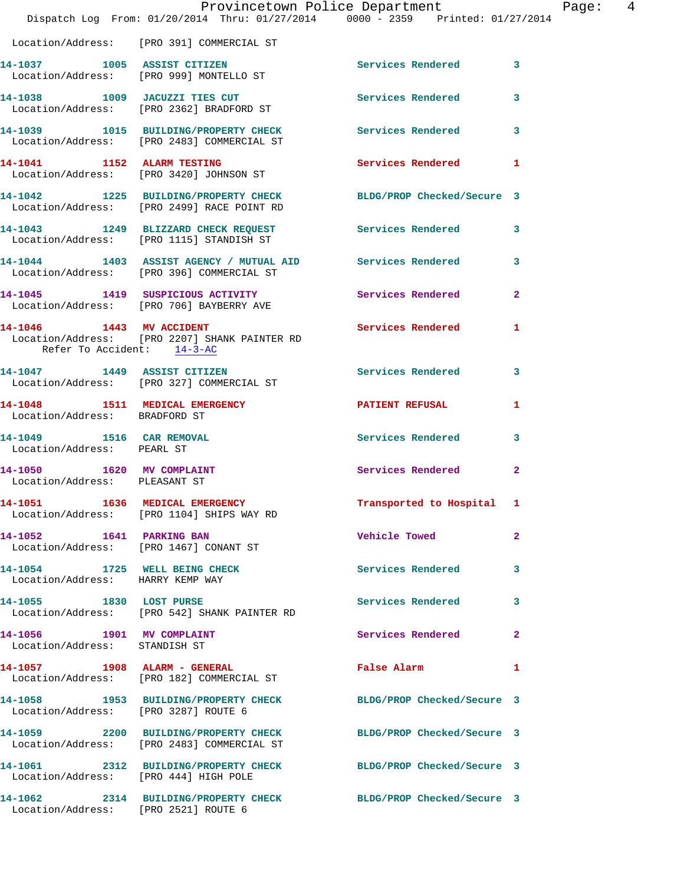|                                                                   | Provincetown Police Department<br>Dispatch Log From: 01/20/2014 Thru: 01/27/2014 0000 - 2359 Printed: 01/27/2014 |                                             | Page: 4      |
|-------------------------------------------------------------------|------------------------------------------------------------------------------------------------------------------|---------------------------------------------|--------------|
|                                                                   | Location/Address: [PRO 391] COMMERCIAL ST                                                                        |                                             |              |
|                                                                   | 14-1037 1005 ASSIST CITIZEN<br>Location/Address: [PRO 999] MONTELLO ST                                           | Services Rendered 3                         |              |
|                                                                   | 14-1038 1009 JACUZZI TIES CUT Services Rendered 3<br>Location/Address: [PRO 2362] BRADFORD ST                    |                                             |              |
|                                                                   | 14-1039 1015 BUILDING/PROPERTY CHECK Services Rendered 3<br>Location/Address: [PRO 2483] COMMERCIAL ST           |                                             |              |
|                                                                   | 14-1041 1152 ALARM TESTING<br>Location/Address: [PRO 3420] JOHNSON ST                                            | Services Rendered 1                         |              |
|                                                                   | 14-1042 1225 BUILDING/PROPERTY CHECK BLDG/PROP Checked/Secure 3<br>Location/Address: [PRO 2499] RACE POINT RD    |                                             |              |
|                                                                   | 14-1043 1249 BLIZZARD CHECK REQUEST Services Rendered 3<br>Location/Address: [PRO 1115] STANDISH ST              |                                             |              |
|                                                                   | 14-1044 1403 ASSIST AGENCY / MUTUAL AID Services Rendered 3<br>Location/Address: [PRO 396] COMMERCIAL ST         |                                             |              |
|                                                                   | 14-1045 1419 SUSPICIOUS ACTIVITY 1991 Services Rendered 2<br>Location/Address: [PRO 706] BAYBERRY AVE            |                                             |              |
| Refer To Accident: 14-3-AC                                        | 14-1046 1443 MV ACCIDENT 140 Services Rendered 1<br>Location/Address: [PRO 2207] SHANK PAINTER RD                |                                             |              |
|                                                                   | 14-1047 1449 ASSIST CITIZEN<br>Location/Address: [PRO 327] COMMERCIAL ST                                         | Services Rendered 3                         |              |
| Location/Address: BRADFORD ST                                     | 14-1048 1511 MEDICAL EMERGENCY <b>NEW PATIENT REFUSAL</b>                                                        |                                             | 1            |
| 14-1049   1516   CAR REMOVAL<br>Location/Address: PEARL ST        |                                                                                                                  | Services Rendered 3                         |              |
| 14-1050 1620 MV COMPLAINT<br>Location/Address: PLEASANT ST        |                                                                                                                  | Services Rendered                           | $\mathbf{2}$ |
|                                                                   | 14-1051 1636 MEDICAL EMERGENCY<br>Location/Address: [PRO 1104] SHIPS WAY RD                                      | Transported to Hospital 1                   |              |
| 14-1052 1641 PARKING BAN                                          | Location/Address: [PRO 1467] CONANT ST                                                                           | Vehicle Towed <b>Search Struck Struck</b>   | $\mathbf{2}$ |
| 14-1054 1725 WELL BEING CHECK<br>Location/Address: HARRY KEMP WAY |                                                                                                                  | Services Rendered                           | 3            |
|                                                                   | 14-1055 1830 LOST PURSE<br>Location/Address: [PRO 542] SHANK PAINTER RD                                          | Services Rendered 3                         |              |
| 14-1056 1901 MV COMPLAINT<br>Location/Address: STANDISH ST        |                                                                                                                  | Services Rendered                           | $\mathbf{2}$ |
|                                                                   | 14-1057 1908 ALARM - GENERAL<br>Location/Address: [PRO 182] COMMERCIAL ST                                        | False Alarm <b>Exercise Service Service</b> | $\mathbf{1}$ |
| Location/Address: [PRO 3287] ROUTE 6                              | 14-1058 1953 BUILDING/PROPERTY CHECK BLDG/PROP Checked/Secure 3                                                  |                                             |              |
|                                                                   | 14-1059 2200 BUILDING/PROPERTY CHECK BLDG/PROP Checked/Secure 3<br>Location/Address: [PRO 2483] COMMERCIAL ST    |                                             |              |
| Location/Address: [PRO 444] HIGH POLE                             | 14-1061 2312 BUILDING/PROPERTY CHECK BLDG/PROP Checked/Secure 3                                                  |                                             |              |
| Location/Address: [PRO 2521] ROUTE 6                              | 14-1062 2314 BUILDING/PROPERTY CHECK BLDG/PROP Checked/Secure 3                                                  |                                             |              |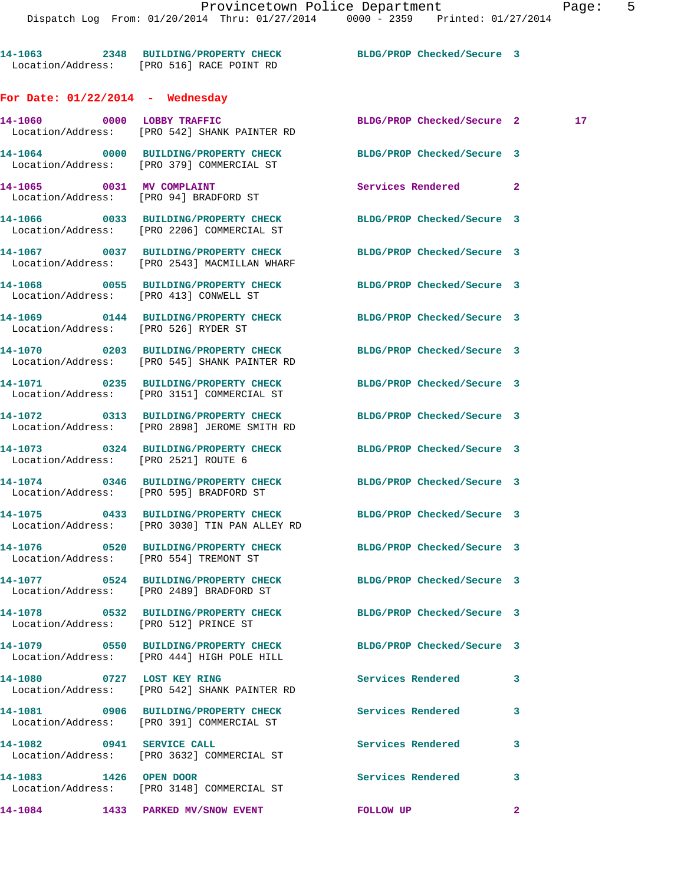**14-1063 2348 BUILDING/PROPERTY CHECK BLDG/PROP Checked/Secure 3**  Location/Address: [PRO 516] RACE POINT RD **For Date: 01/22/2014 - Wednesday 14-1060 0000 LOBBY TRAFFIC BLDG/PROP Checked/Secure 2 17**  Location/Address: [PRO 542] SHANK PAINTER RD **14-1064 0000 BUILDING/PROPERTY CHECK BLDG/PROP Checked/Secure 3**  Location/Address: [PRO 379] COMMERCIAL ST Location Location

**14-1084 1433 PARKED MV/SNOW EVENT FOLLOW UP 2** 

|                                        | LOCAtion/Address: [PRO 379] COMMERCIAL ST                                                                        |                            |   |
|----------------------------------------|------------------------------------------------------------------------------------------------------------------|----------------------------|---|
| 14-1065 0031 MV COMPLAINT              | Location/Address: [PRO 94] BRADFORD ST                                                                           | Services Rendered 2        |   |
|                                        | 14-1066 0033 BUILDING/PROPERTY CHECK<br>Location/Address: [PRO 2206] COMMERCIAL ST                               | BLDG/PROP Checked/Secure 3 |   |
|                                        | 14-1067 0037 BUILDING/PROPERTY CHECK<br>Location/Address: [PRO 2543] MACMILLAN WHARF                             | BLDG/PROP Checked/Secure 3 |   |
| Location/Address: [PRO 413] CONWELL ST | 14-1068 0055 BUILDING/PROPERTY CHECK                                                                             | BLDG/PROP Checked/Secure 3 |   |
| Location/Address: [PRO 526] RYDER ST   | 14-1069 0144 BUILDING/PROPERTY CHECK                                                                             | BLDG/PROP Checked/Secure 3 |   |
|                                        | 14-1070 0203 BUILDING/PROPERTY CHECK<br>Location/Address: [PRO 545] SHANK PAINTER RD                             | BLDG/PROP Checked/Secure 3 |   |
|                                        | 14-1071 0235 BUILDING/PROPERTY CHECK<br>Location/Address: [PRO 3151] COMMERCIAL ST                               | BLDG/PROP Checked/Secure 3 |   |
|                                        | 14-1072 0313 BUILDING/PROPERTY CHECK<br>Location/Address: [PRO 2898] JEROME SMITH RD                             | BLDG/PROP Checked/Secure 3 |   |
| Location/Address: [PRO 2521] ROUTE 6   | 14-1073 0324 BUILDING/PROPERTY CHECK BLDG/PROP Checked/Secure 3                                                  |                            |   |
|                                        | 14-1074 0346 BUILDING/PROPERTY CHECK<br>Location/Address: [PRO 595] BRADFORD ST                                  | BLDG/PROP Checked/Secure 3 |   |
|                                        | 14-1075 0433 BUILDING/PROPERTY CHECK BLDG/PROP Checked/Secure 3<br>Location/Address: [PRO 3030] TIN PAN ALLEY RD |                            |   |
| Location/Address: [PRO 554] TREMONT ST | 14-1076 0520 BUILDING/PROPERTY CHECK                                                                             | BLDG/PROP Checked/Secure 3 |   |
|                                        | 14-1077 0524 BUILDING/PROPERTY CHECK<br>Location/Address: [PRO 2489] BRADFORD ST                                 | BLDG/PROP Checked/Secure 3 |   |
| Location/Address: [PRO 512] PRINCE ST  | 14-1078 0532 BUILDING/PROPERTY CHECK BLDG/PROP Checked/Secure 3                                                  |                            |   |
|                                        | 14-1079 0550 BUILDING/PROPERTY CHECK BLDG/PROP Checked/Secure 3<br>Location/Address: [PRO 444] HIGH POLE HILL    |                            |   |
| 14-1080 0727 LOST KEY RING             | Location/Address: [PRO 542] SHANK PAINTER RD                                                                     | Services Rendered          | 3 |
| Location/Address:                      | 14-1081 0906 BUILDING/PROPERTY CHECK<br>[PRO 391] COMMERCIAL ST                                                  | Services Rendered          | 3 |
| 14-1082                                | 0941 SERVICE CALL<br>Location/Address: [PRO 3632] COMMERCIAL ST                                                  | Services Rendered          | 3 |
| 14-1083 1426 OPEN DOOR                 | Location/Address: [PRO 3148] COMMERCIAL ST                                                                       | Services Rendered          | 3 |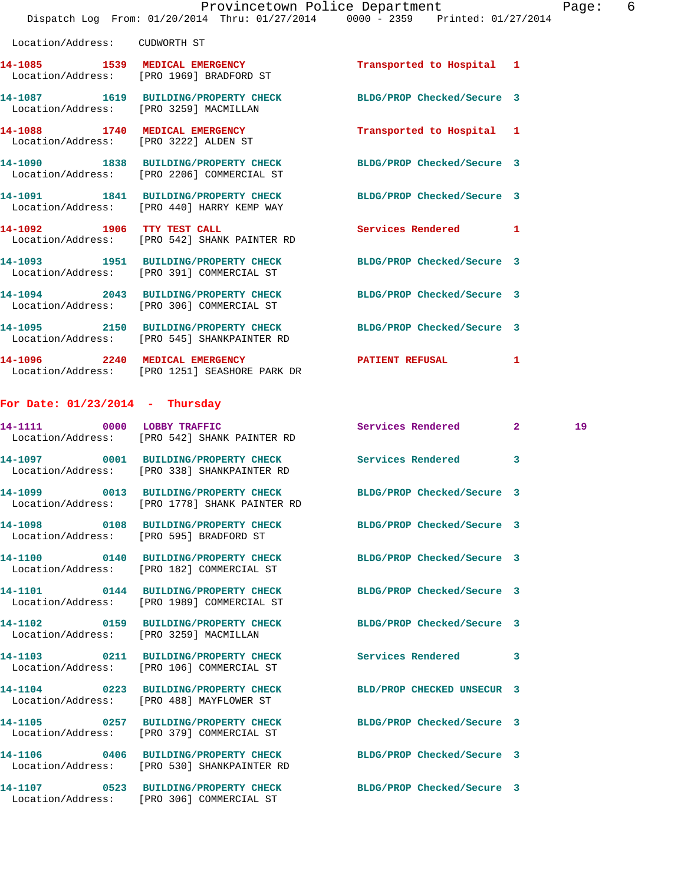|                                        | Dispatch Log From: 01/20/2014 Thru: 01/27/2014 0000 - 2359 Printed: 01/27/2014                                 | Provincetown Police Department |   | Page: 6 |  |
|----------------------------------------|----------------------------------------------------------------------------------------------------------------|--------------------------------|---|---------|--|
| Location/Address: CUDWORTH ST          |                                                                                                                |                                |   |         |  |
|                                        | 14-1085 1539 MEDICAL EMERGENCY<br>Location/Address: [PRO 1969] BRADFORD ST                                     | Transported to Hospital 1      |   |         |  |
| Location/Address: [PRO 3259] MACMILLAN | 14-1087 1619 BUILDING/PROPERTY CHECK BLDG/PROP Checked/Secure 3                                                |                                |   |         |  |
|                                        | 14-1088 1740 MEDICAL EMERGENCY<br>Location/Address: [PRO 3222] ALDEN ST                                        | Transported to Hospital 1      |   |         |  |
|                                        | 14-1090 1838 BUILDING/PROPERTY CHECK<br>Location/Address: [PRO 2206] COMMERCIAL ST                             | BLDG/PROP Checked/Secure 3     |   |         |  |
|                                        | 14-1091 1841 BUILDING/PROPERTY CHECK<br>Location/Address: [PRO 440] HARRY KEMP WAY                             | BLDG/PROP Checked/Secure 3     |   |         |  |
|                                        | 14-1092 1906 TTY TEST CALL<br>Location/Address: [PRO 542] SHANK PAINTER RD                                     | Services Rendered 1            |   |         |  |
|                                        | 14-1093 1951 BUILDING/PROPERTY CHECK<br>Location/Address: [PRO 391] COMMERCIAL ST                              | BLDG/PROP Checked/Secure 3     |   |         |  |
|                                        | 14-1094 2043 BUILDING/PROPERTY CHECK<br>Location/Address: [PRO 306] COMMERCIAL ST                              | BLDG/PROP Checked/Secure 3     |   |         |  |
|                                        | 14-1095 2150 BUILDING/PROPERTY CHECK BLDG/PROP Checked/Secure 3<br>Location/Address: [PRO 545] SHANKPAINTER RD |                                |   |         |  |
|                                        | 14-1096 2240 MEDICAL EMERGENCY<br>Location/Address: [PRO 1251] SEASHORE PARK DR                                | PATIENT REFUSAL 1              |   |         |  |
| For Date: $01/23/2014$ - Thursday      |                                                                                                                |                                |   |         |  |
|                                        | 14-1111 0000 LOBBY TRAFFIC<br>Location/Address: [PRO 542] SHANK PAINTER RD                                     | Services Rendered 2            |   | 19      |  |
|                                        | 14-1097 0001 BUILDING/PROPERTY CHECK<br>Location/Address: [PRO 338] SHANKPAINTER RD                            | Services Rendered              | 3 |         |  |
| Location/Address:                      | 14-1099 0013 BUILDING/PROPERTY CHECK BLDG/PROP Checked/Secure 3<br>[PRO 1778] SHANK PAINTER RD                 |                                |   |         |  |
|                                        | Location/Address: [PRO 595] BRADFORD ST                                                                        | BLDG/PROP Checked/Secure 3     |   |         |  |
|                                        | 14-1100 0140 BUILDING/PROPERTY CHECK<br>Location/Address: [PRO 182] COMMERCIAL ST                              | BLDG/PROP Checked/Secure 3     |   |         |  |
|                                        | 14-1101 0144 BUILDING/PROPERTY CHECK<br>Location/Address: [PRO 1989] COMMERCIAL ST                             | BLDG/PROP Checked/Secure 3     |   |         |  |
| Location/Address: [PRO 3259] MACMILLAN | 14-1102 0159 BUILDING/PROPERTY CHECK                                                                           | BLDG/PROP Checked/Secure 3     |   |         |  |

**14-1103 0211 BUILDING/PROPERTY CHECK Services Rendered 3**  Location/Address: [PRO 106] COMMERCIAL ST

Location/Address: [PRO 488] MAYFLOWER ST

Location/Address: [PRO 379] COMMERCIAL ST

Location/Address: [PRO 530] SHANKPAINTER RD

**14-1106 0406 BUILDING/PROPERTY CHECK BLDG/PROP Checked/Secure 3** 

**14-1107 0523 BUILDING/PROPERTY CHECK BLDG/PROP Checked/Secure 3**  Location/Address: [PRO 306] COMMERCIAL ST

**14-1104 0223 BUILDING/PROPERTY CHECK BLD/PROP CHECKED UNSECUR 3** 

**14-1105 0257 BUILDING/PROPERTY CHECK BLDG/PROP Checked/Secure 3**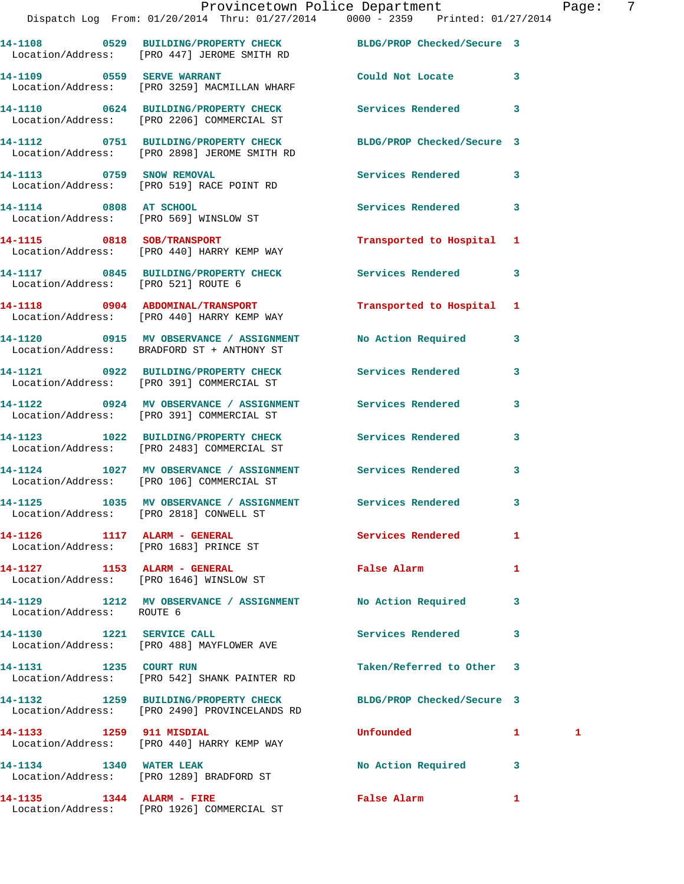|                           | Dispatch Log From: 01/20/2014 Thru: 01/27/2014 0000 - 2359 Printed: 01/27/2014                                   | Provincetown Police Department Page: 7 |              |   |
|---------------------------|------------------------------------------------------------------------------------------------------------------|----------------------------------------|--------------|---|
|                           | 14-1108 0529 BUILDING/PROPERTY CHECK BLDG/PROP Checked/Secure 3<br>Location/Address: [PRO 447] JEROME SMITH RD   |                                        |              |   |
|                           | 14-1109 0559 SERVE WARRANT<br>Location/Address: [PRO 3259] MACMILLAN WHARF                                       | Could Not Locate 3                     |              |   |
|                           | 14-1110 0624 BUILDING/PROPERTY CHECK Services Rendered 3<br>Location/Address: [PRO 2206] COMMERCIAL ST           |                                        |              |   |
|                           | 14-1112 0751 BUILDING/PROPERTY CHECK BLDG/PROP Checked/Secure 3<br>Location/Address: [PRO 2898] JEROME SMITH RD  |                                        |              |   |
|                           | 14-1113 0759 SNOW REMOVAL<br>Location/Address: [PRO 519] RACE POINT RD                                           | Services Rendered 3                    |              |   |
| 14-1114 0808 AT SCHOOL    | Location/Address: [PRO 569] WINSLOW ST                                                                           | Services Rendered 3                    |              |   |
|                           | 14-1115 0818 SOB/TRANSPORT<br>Location/Address: [PRO 440] HARRY KEMP WAY                                         | Transported to Hospital 1              |              |   |
|                           | 14-1117 0845 BUILDING/PROPERTY CHECK Services Rendered 3<br>Location/Address: [PRO 521] ROUTE 6                  |                                        |              |   |
|                           | 14-1118 0904 ABDOMINAL/TRANSPORT<br>Location/Address: [PRO 440] HARRY KEMP WAY                                   | Transported to Hospital 1              |              |   |
|                           | 14-1120 0915 MV OBSERVANCE / ASSIGNMENT<br>Location/Address: BRADFORD ST + ANTHONY ST                            | No Action Required 3                   |              |   |
|                           | 14-1121 0922 BUILDING/PROPERTY CHECK Services Rendered 3<br>Location/Address: [PRO 391] COMMERCIAL ST            |                                        |              |   |
|                           | 14-1122 0924 MV OBSERVANCE / ASSIGNMENT Services Rendered<br>Location/Address: [PRO 391] COMMERCIAL ST           |                                        | 3            |   |
|                           | 14-1123 1022 BUILDING/PROPERTY CHECK Services Rendered 3<br>Location/Address: [PRO 2483] COMMERCIAL ST           |                                        |              |   |
|                           | 14-1124 1027 MV OBSERVANCE / ASSIGNMENT Services Rendered<br>Location/Address: [PRO 106] COMMERCIAL ST           |                                        | $\mathbf{3}$ |   |
|                           | 14-1125 1035 MV OBSERVANCE / ASSIGNMENT<br>Location/Address: [PRO 2818] CONWELL ST                               | Services Rendered                      | $\mathbf{3}$ |   |
|                           | 14-1126 1117 ALARM - GENERAL<br>Location/Address: [PRO 1683] PRINCE ST                                           | Services Rendered 1                    |              |   |
|                           | 14-1127 1153 ALARM - GENERAL<br>Location/Address: [PRO 1646] WINSLOW ST                                          | False Alarm                            | 1            |   |
| Location/Address: ROUTE 6 | 14-1129 1212 MV OBSERVANCE / ASSIGNMENT No Action Required                                                       |                                        | 3            |   |
|                           | 14-1130 1221 SERVICE CALL<br>Location/Address: [PRO 488] MAYFLOWER AVE                                           | Services Rendered 3                    |              |   |
|                           | 14-1131 1235 COURT RUN<br>Location/Address: [PRO 542] SHANK PAINTER RD                                           | Taken/Referred to Other 3              |              |   |
|                           | 14-1132 1259 BUILDING/PROPERTY CHECK BLDG/PROP Checked/Secure 3<br>Location/Address: [PRO 2490] PROVINCELANDS RD |                                        |              |   |
|                           | 14-1133 1259 911 MISDIAL<br>Location/Address: [PRO 440] HARRY KEMP WAY                                           | Unfounded                              | $\mathbf{1}$ | 1 |
| 14-1134 1340 WATER LEAK   | Location/Address: [PRO 1289] BRADFORD ST                                                                         | No Action Required 3                   |              |   |
|                           |                                                                                                                  |                                        |              |   |

**14-1135 1344 ALARM - FIRE False Alarm 1**  Location/Address: [PRO 1926] COMMERCIAL ST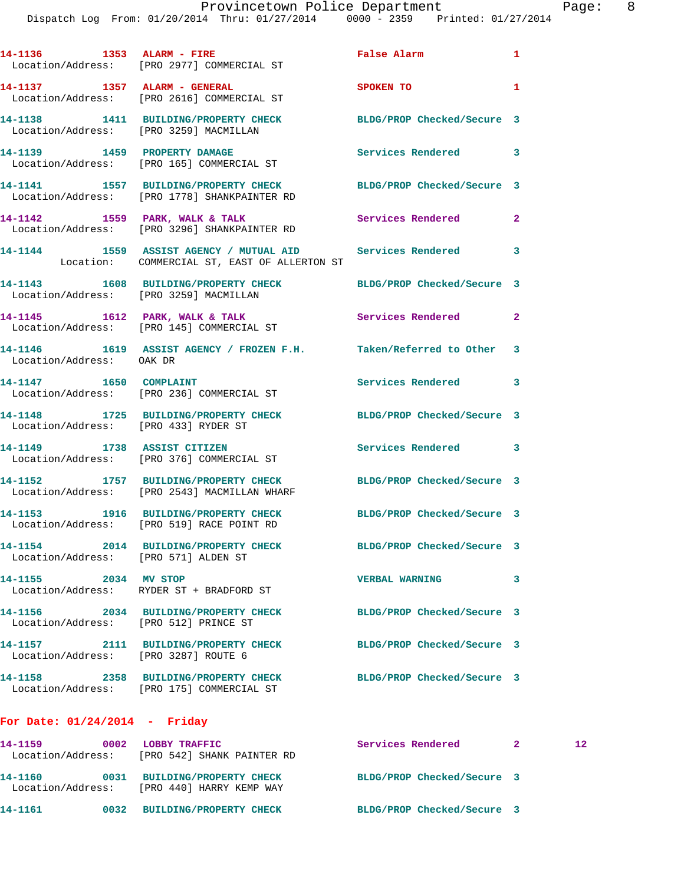| 14-1136   1353   ALARM - FIRE                   | Location/Address: [PRO 2977] COMMERCIAL ST                                                                | False Alarm 1              |                            |
|-------------------------------------------------|-----------------------------------------------------------------------------------------------------------|----------------------------|----------------------------|
|                                                 | 14-1137 1357 ALARM - GENERAL<br>Location/Address: [PRO 2616] COMMERCIAL ST                                | <b>SPOKEN TO</b>           | 1                          |
| Location/Address: [PRO 3259] MACMILLAN          | 14-1138 1411 BUILDING/PROPERTY CHECK BLDG/PROP Checked/Secure 3                                           |                            |                            |
|                                                 | 14-1139 1459 PROPERTY DAMAGE<br>Location/Address: [PRO 165] COMMERCIAL ST                                 | Services Rendered 3        |                            |
|                                                 | 14-1141 1557 BUILDING/PROPERTY CHECK<br>Location/Address: [PRO 1778] SHANKPAINTER RD                      | BLDG/PROP Checked/Secure 3 |                            |
|                                                 | 14-1142 1559 PARK, WALK & TALK<br>Location/Address: [PRO 3296] SHANKPAINTER RD                            | Services Rendered          | $\overline{\phantom{a}}$ 2 |
|                                                 | 14-1144 1559 ASSIST AGENCY / MUTUAL AID Services Rendered<br>Location: COMMERCIAL ST, EAST OF ALLERTON ST |                            | $\sim$ 3                   |
| Location/Address: [PRO 3259] MACMILLAN          | 14-1143 1608 BUILDING/PROPERTY CHECK BLDG/PROP Checked/Secure 3                                           |                            |                            |
|                                                 | 14-1145 1612 PARK, WALK & TALK<br>Location/Address: [PRO 145] COMMERCIAL ST                               | <b>Services Rendered</b> 2 |                            |
| Location/Address: OAK DR                        | 14-1146 1619 ASSIST AGENCY / FROZEN F.H. Taken/Referred to Other 3                                        |                            |                            |
| 14-1147 1650 COMPLAINT                          | Location/Address: [PRO 236] COMMERCIAL ST                                                                 | Services Rendered 3        |                            |
| Location/Address: [PRO 433] RYDER ST            | 14-1148 1725 BUILDING/PROPERTY CHECK BLDG/PROP Checked/Secure 3                                           |                            |                            |
|                                                 | 14-1149 1738 ASSIST CITIZEN<br>Location/Address: [PRO 376] COMMERCIAL ST                                  | Services Rendered 3        |                            |
|                                                 | 14-1152 1757 BUILDING/PROPERTY CHECK<br>Location/Address: [PRO 2543] MACMILLAN WHARF                      | BLDG/PROP Checked/Secure 3 |                            |
|                                                 | 14-1153 1916 BUILDING/PROPERTY CHECK<br>Location/Address: [PRO 519] RACE POINT RD                         | BLDG/PROP Checked/Secure 3 |                            |
| 14-1154<br>Location/Address: [PRO 571] ALDEN ST | 2014 BUILDING/PROPERTY CHECK                                                                              | BLDG/PROP Checked/Secure 3 |                            |
| 14-1155 2034 MV STOP                            | Location/Address: RYDER ST + BRADFORD ST                                                                  | <b>VERBAL WARNING</b>      | 3                          |
| Location/Address: [PRO 512] PRINCE ST           | 14-1156 2034 BUILDING/PROPERTY CHECK                                                                      | BLDG/PROP Checked/Secure 3 |                            |
| Location/Address: [PRO 3287] ROUTE 6            | 14-1157 2111 BUILDING/PROPERTY CHECK                                                                      | BLDG/PROP Checked/Secure 3 |                            |
| 14-1158                                         | 2358 BUILDING/PROPERTY CHECK<br>Location/Address: [PRO 175] COMMERCIAL ST                                 | BLDG/PROP Checked/Secure 3 |                            |

## **For Date: 01/24/2014 - Friday**

| 14-1159<br>Location/Address: | 0002 | LOBBY TRAFFIC<br>FPRO 5421 SHANK PAINTER RD                | Services Rendered |                            | 12 |
|------------------------------|------|------------------------------------------------------------|-------------------|----------------------------|----|
| 14-1160<br>Location/Address: | 0031 | <b>BUILDING/PROPERTY CHECK</b><br>[PRO 440] HARRY KEMP WAY |                   | BLDG/PROP Checked/Secure 3 |    |
| 14-1161                      | 0032 | <b>BUILDING/PROPERTY CHECK</b>                             |                   | BLDG/PROP Checked/Secure 3 |    |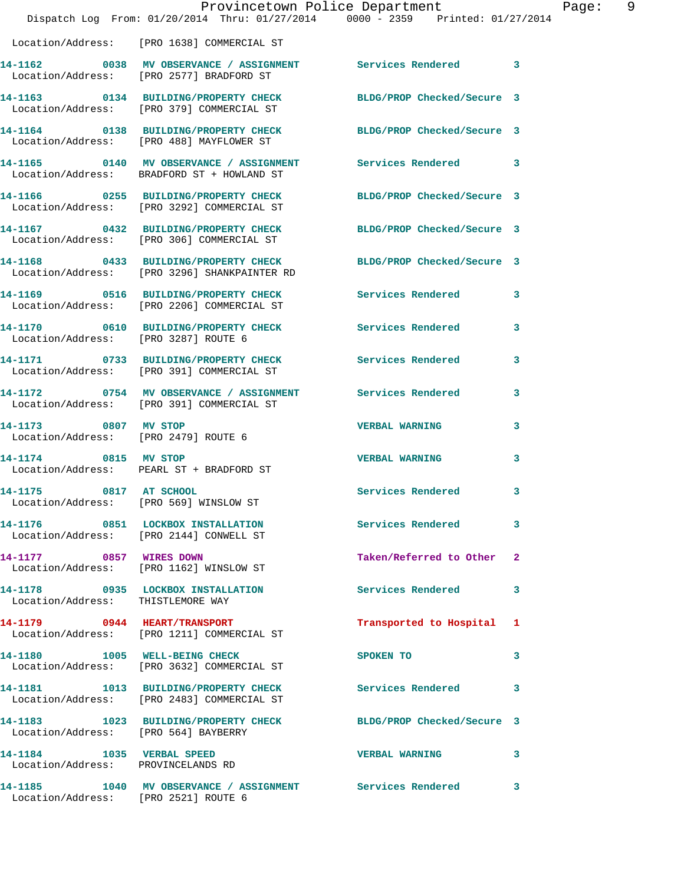|                                                                 | Provincetown Police Department<br>Dispatch Log From: 01/20/2014 Thru: 01/27/2014 0000 - 2359 Printed: 01/27/2014 |                            |   |
|-----------------------------------------------------------------|------------------------------------------------------------------------------------------------------------------|----------------------------|---|
|                                                                 | Location/Address: [PRO 1638] COMMERCIAL ST                                                                       |                            |   |
|                                                                 | 14-1162 0038 MV OBSERVANCE / ASSIGNMENT Services Rendered 3<br>Location/Address: [PRO 2577] BRADFORD ST          |                            |   |
|                                                                 | 14-1163 0134 BUILDING/PROPERTY CHECK BLDG/PROP Checked/Secure 3<br>Location/Address: [PRO 379] COMMERCIAL ST     |                            |   |
|                                                                 | 14-1164 0138 BUILDING/PROPERTY CHECK BLDG/PROP Checked/Secure 3<br>Location/Address: [PRO 488] MAYFLOWER ST      |                            |   |
|                                                                 | 14-1165 0140 MV OBSERVANCE / ASSIGNMENT Services Rendered 3<br>Location/Address: BRADFORD ST + HOWLAND ST        |                            |   |
|                                                                 | 14-1166 0255 BUILDING/PROPERTY CHECK<br>Location/Address: [PRO 3292] COMMERCIAL ST                               | BLDG/PROP Checked/Secure 3 |   |
|                                                                 | 14-1167 0432 BUILDING/PROPERTY CHECK<br>Location/Address: [PRO 306] COMMERCIAL ST                                | BLDG/PROP Checked/Secure 3 |   |
|                                                                 | 14-1168 0433 BUILDING/PROPERTY CHECK<br>Location/Address: [PRO 3296] SHANKPAINTER RD                             | BLDG/PROP Checked/Secure 3 |   |
|                                                                 | 14-1169 0516 BUILDING/PROPERTY CHECK<br>Location/Address: [PRO 2206] COMMERCIAL ST                               | Services Rendered          | 3 |
| Location/Address: [PRO 3287] ROUTE 6                            | 14-1170 0610 BUILDING/PROPERTY CHECK                                                                             | Services Rendered          | 3 |
|                                                                 | 14-1171 0733 BUILDING/PROPERTY CHECK<br>Location/Address: [PRO 391] COMMERCIAL ST                                | Services Rendered          | 3 |
|                                                                 | 14-1172 0754 MV OBSERVANCE / ASSIGNMENT Services Rendered<br>Location/Address: [PRO 391] COMMERCIAL ST           |                            | 3 |
| 14-1173 0807 MV STOP<br>Location/Address: [PRO 2479] ROUTE 6    |                                                                                                                  | <b>VERBAL WARNING</b>      | 3 |
| 14-1174 0815 MV STOP                                            | Location/Address: PEARL ST + BRADFORD ST                                                                         | <b>VERBAL WARNING</b>      | 3 |
| 14-1175<br>Location/Address: [PRO 569] WINSLOW ST               | 0817 AT SCHOOL                                                                                                   | Services Rendered          | 3 |
|                                                                 | 14-1176 0851 LOCKBOX INSTALLATION<br>Location/Address: [PRO 2144] CONWELL ST                                     | Services Rendered          | 3 |
| 14-1177 0857 WIRES DOWN                                         | Location/Address: [PRO 1162] WINSLOW ST                                                                          | Taken/Referred to Other    | 2 |
| Location/Address: THISTLEMORE WAY                               | 14-1178 0935 LOCKBOX INSTALLATION                                                                                | Services Rendered          | 3 |
|                                                                 | 14-1179 0944 HEART/TRANSPORT<br>Location/Address: [PRO 1211] COMMERCIAL ST                                       | Transported to Hospital    | ı |
|                                                                 | 14-1180 1005 WELL-BEING CHECK<br>Location/Address: [PRO 3632] COMMERCIAL ST                                      | SPOKEN TO                  | 3 |
|                                                                 | 14-1181 1013 BUILDING/PROPERTY CHECK<br>Location/Address: [PRO 2483] COMMERCIAL ST                               | <b>Services Rendered</b>   | 3 |
| Location/Address: [PRO 564] BAYBERRY                            | 14-1183 1023 BUILDING/PROPERTY CHECK                                                                             | BLDG/PROP Checked/Secure 3 |   |
| 14-1184 1035 VERBAL SPEED<br>Location/Address: PROVINCELANDS RD |                                                                                                                  | <b>VERBAL WARNING</b>      | 3 |
| 14-1185                                                         | 1040 MV OBSERVANCE / ASSIGNMENT Services Rendered                                                                |                            | 3 |

Location/Address: [PRO 2521] ROUTE 6

Page: 9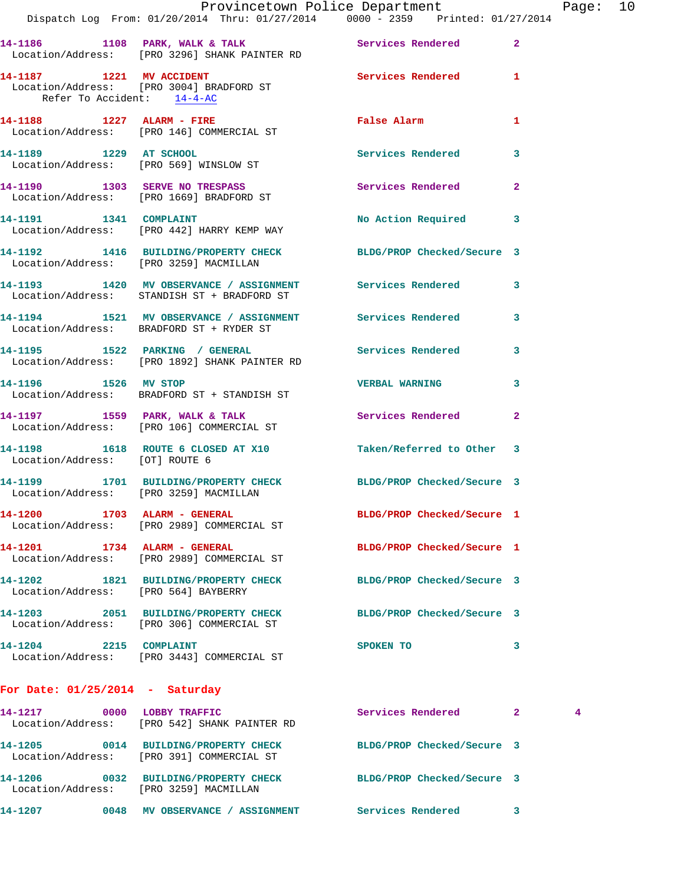|                                        | Dispatch Log From: 01/20/2014 Thru: 01/27/2014 0000 - 2359 Printed: 01/27/2014                             | Provincetown Police Department Page: 10 |              |   |  |
|----------------------------------------|------------------------------------------------------------------------------------------------------------|-----------------------------------------|--------------|---|--|
|                                        | 14-1186 1108 PARK, WALK & TALK 5 Services Rendered 2<br>Location/Address: [PRO 3296] SHANK PAINTER RD      |                                         |              |   |  |
| Refer To Accident: 14-4-AC             | 14-1187 1221 MV ACCIDENT Services Rendered 1<br>Location/Address: [PRO 3004] BRADFORD ST                   |                                         |              |   |  |
|                                        | 14-1188 1227 ALARM - FIRE<br>Location/Address: [PRO 146] COMMERCIAL ST                                     | False Alarm 1                           |              |   |  |
|                                        | 14-1189 1229 AT SCHOOL<br>Location/Address: [PRO 569] WINSLOW ST                                           | Services Rendered                       | $\mathbf{3}$ |   |  |
|                                        | 14-1190 1303 SERVE NO TRESPASS<br>Location/Address: [PRO 1669] BRADFORD ST                                 | Services Rendered 2                     |              |   |  |
|                                        | 14-1191 1341 COMPLAINT<br>Location/Address: [PRO 442] HARRY KEMP WAY                                       | No Action Required 3                    |              |   |  |
| Location/Address: [PRO 3259] MACMILLAN | 14-1192 1416 BUILDING/PROPERTY CHECK BLDG/PROP Checked/Secure 3                                            |                                         |              |   |  |
|                                        | 14-1193 1420 MV OBSERVANCE / ASSIGNMENT Services Rendered 3<br>Location/Address: STANDISH ST + BRADFORD ST |                                         |              |   |  |
|                                        | 14-1194 1521 MV OBSERVANCE / ASSIGNMENT Services Rendered 3<br>Location/Address: BRADFORD ST + RYDER ST    |                                         |              |   |  |
|                                        | 14-1195 1522 PARKING / GENERAL Services Rendered 3<br>Location/Address: [PRO 1892] SHANK PAINTER RD        |                                         |              |   |  |
| 14-1196 1526 MV STOP                   | Location/Address: BRADFORD ST + STANDISH ST                                                                | <b>VERBAL WARNING</b>                   | 3            |   |  |
|                                        | 14-1197 1559 PARK, WALK & TALK<br>Location/Address: [PRO 106] COMMERCIAL ST                                | Services Rendered 2                     |              |   |  |
| Location/Address: [OT] ROUTE 6         | 14-1198 1618 ROUTE 6 CLOSED AT X10 Taken/Referred to Other 3                                               |                                         |              |   |  |
|                                        | 14-1199 1701 BUILDING/PROPERTY CHECK BLDG/PROP Checked/Secure 3<br>Location/Address: [PRO 3259] MACMILLAN  |                                         |              |   |  |
|                                        | 14-1200 1703 ALARM - GENERAL<br>Location/Address: [PRO 2989] COMMERCIAL ST                                 | BLDG/PROP Checked/Secure 1              |              |   |  |
|                                        | 14-1201 1734 ALARM - GENERAL<br>Location/Address: [PRO 2989] COMMERCIAL ST                                 | BLDG/PROP Checked/Secure 1              |              |   |  |
| Location/Address: [PRO 564] BAYBERRY   | 14-1202 1821 BUILDING/PROPERTY CHECK BLDG/PROP Checked/Secure 3                                            |                                         |              |   |  |
|                                        | 14-1203 2051 BUILDING/PROPERTY CHECK<br>Location/Address: [PRO 306] COMMERCIAL ST                          | BLDG/PROP Checked/Secure 3              |              |   |  |
| 14-1204 2215 COMPLAINT                 | Location/Address: [PRO 3443] COMMERCIAL ST                                                                 | SPOKEN TO                               | 3            |   |  |
| For Date: $01/25/2014$ - Saturday      |                                                                                                            |                                         |              |   |  |
|                                        | 14-1217 0000 LOBBY TRAFFIC<br>Location/Address: [PRO 542] SHANK PAINTER RD                                 | Services Rendered 2                     |              | 4 |  |
|                                        | 14-1205 0014 BUILDING/PROPERTY CHECK<br>Location/Address: [PRO 391] COMMERCIAL ST                          | BLDG/PROP Checked/Secure 3              |              |   |  |
|                                        | 14-1206 0032 BUILDING/PROPERTY CHECK BLDG/PROP Checked/Secure 3<br>Location/Address: [PRO 3259] MACMILLAN  |                                         |              |   |  |
|                                        | 14-1207 0048 MV OBSERVANCE / ASSIGNMENT Services Rendered                                                  |                                         | 3            |   |  |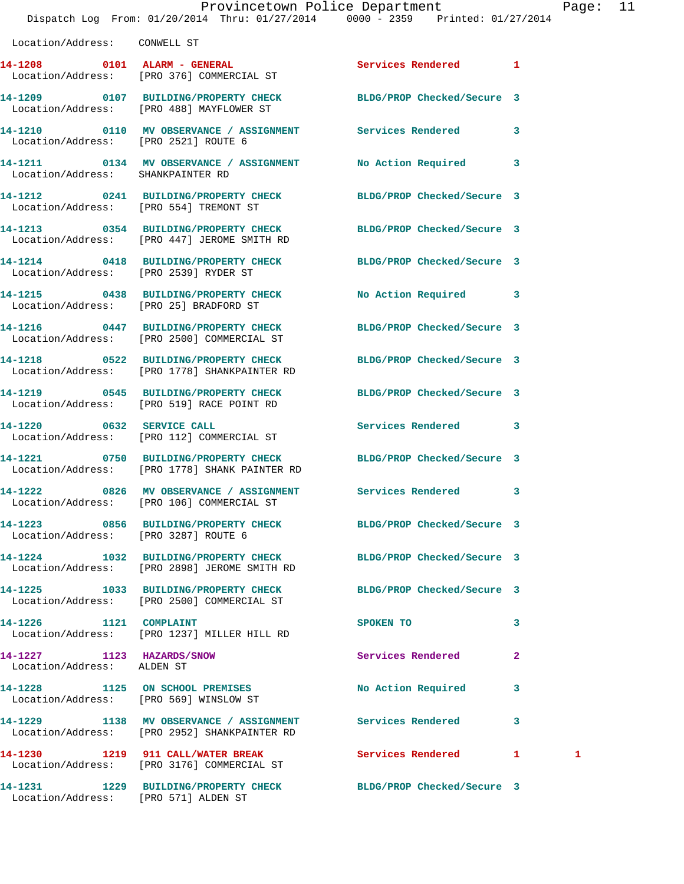|                                        | Provincetown Police Department<br>Dispatch Log From: 01/20/2014 Thru: 01/27/2014 0000 - 2359 Printed: 01/27/2014 |                            | Page: 11 |  |
|----------------------------------------|------------------------------------------------------------------------------------------------------------------|----------------------------|----------|--|
| Location/Address: CONWELL ST           |                                                                                                                  |                            |          |  |
|                                        | 14-1208 0101 ALARM - GENERAL Services Rendered 1<br>Location/Address: [PRO 376] COMMERCIAL ST                    |                            |          |  |
|                                        | 14-1209 0107 BUILDING/PROPERTY CHECK BLDG/PROP Checked/Secure 3<br>Location/Address: [PRO 488] MAYFLOWER ST      |                            |          |  |
| Location/Address: [PRO 2521] ROUTE 6   | 14-1210 0110 MV OBSERVANCE / ASSIGNMENT Services Rendered 3                                                      |                            |          |  |
| Location/Address: SHANKPAINTER RD      | 14-1211 0134 MV OBSERVANCE / ASSIGNMENT No Action Required 3                                                     |                            |          |  |
| Location/Address: [PRO 554] TREMONT ST | 14-1212 0241 BUILDING/PROPERTY CHECK BLDG/PROP Checked/Secure 3                                                  |                            |          |  |
|                                        | 14-1213 0354 BUILDING/PROPERTY CHECK BLDG/PROP Checked/Secure 3<br>Location/Address: [PRO 447] JEROME SMITH RD   |                            |          |  |
| Location/Address: [PRO 2539] RYDER ST  | 14-1214 0418 BUILDING/PROPERTY CHECK BLDG/PROP Checked/Secure 3                                                  |                            |          |  |
| Location/Address: [PRO 25] BRADFORD ST | 14-1215 0438 BUILDING/PROPERTY CHECK No Action Required 3                                                        |                            |          |  |
|                                        | 14-1216 0447 BUILDING/PROPERTY CHECK BLDG/PROP Checked/Secure 3<br>Location/Address: [PRO 2500] COMMERCIAL ST    |                            |          |  |
|                                        | 14-1218 0522 BUILDING/PROPERTY CHECK                                                                             | BLDG/PROP Checked/Secure 3 |          |  |

**14-1219 0545 BUILDING/PROPERTY CHECK BLDG/PROP Checked/Secure 3** 

**14-1220 0632 SERVICE CALL Services Rendered 3** 

**14-1221 0750 BUILDING/PROPERTY CHECK BLDG/PROP Checked/Secure 3** 

**14-1223 0856 BUILDING/PROPERTY CHECK BLDG/PROP Checked/Secure 3**  Location/Address: [PRO 3287] ROUTE 6

Location/Address: [PRO 2898] JEROME SMITH RD

Location/Address: [PRO 2500] COMMERCIAL ST

**14-1226 1121 COMPLAINT SPOKEN TO 3**  Location/Address: [PRO 1237] MILLER HILL RD

**14-1227 1123 HAZARDS/SNOW Services Rendered 2**  Location/Address: ALDEN ST

Location/Address: [PRO 1778] SHANKPAINTER RD

Location/Address: [PRO 519] RACE POINT RD

Location/Address: [PRO 112] COMMERCIAL ST

Location/Address: [PRO 1778] SHANK PAINTER RD

Location/Address: [PRO 569] WINSLOW ST

**14-1229 1138 MV OBSERVANCE / ASSIGNMENT Services Rendered 3**  Location/Address: [PRO 2952] SHANKPAINTER RD

Location/Address: [PRO 3176] COMMERCIAL ST

**14-1231 1229 BUILDING/PROPERTY CHECK BLDG/PROP Checked/Secure 3**  Location/Address: [PRO 571] ALDEN ST

**14-1222 0826 MV OBSERVANCE / ASSIGNMENT Services Rendered 3** 

**14-1224 1032 BUILDING/PROPERTY CHECK BLDG/PROP Checked/Secure 3** 

**14-1225 1033 BUILDING/PROPERTY CHECK BLDG/PROP Checked/Secure 3** 

**14-1228 1125 ON SCHOOL PREMISES No Action Required 3** 

14-1230 1219 911 CALL/WATER BREAK Services Rendered 1 1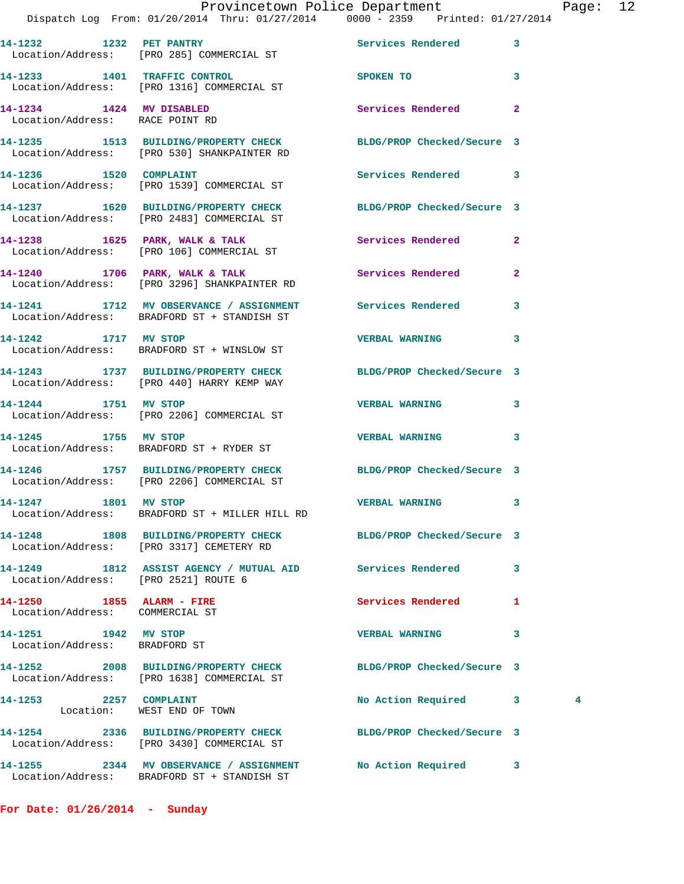|                                                              | Provincetown Police Department<br>Dispatch Log From: 01/20/2014 Thru: 01/27/2014 0000 - 2359 Printed: 01/27/2014 |                            | Pag                 |
|--------------------------------------------------------------|------------------------------------------------------------------------------------------------------------------|----------------------------|---------------------|
|                                                              | 14-1232 1232 PET PANTRY<br>Location/Address: [PRO 285] COMMERCIAL ST                                             | Services Rendered          | 3                   |
|                                                              | 14-1233 1401 TRAFFIC CONTROL<br>Location/Address: [PRO 1316] COMMERCIAL ST                                       | <b>SPOKEN TO</b>           | 3                   |
| 14-1234 1424 MV DISABLED<br>Location/Address: RACE POINT RD  |                                                                                                                  | Services Rendered          | $\overline{a}$      |
|                                                              | 14-1235 1513 BUILDING/PROPERTY CHECK BLDG/PROP Checked/Secure 3<br>Location/Address: [PRO 530] SHANKPAINTER RD   |                            |                     |
|                                                              | 14-1236 1520 COMPLAINT<br>Location/Address: [PRO 1539] COMMERCIAL ST                                             | Services Rendered          | 3                   |
|                                                              | 14-1237 1620 BUILDING/PROPERTY CHECK BLDG/PROP Checked/Secure 3<br>Location/Address: [PRO 2483] COMMERCIAL ST    |                            |                     |
|                                                              | 14-1238 1625 PARK, WALK & TALK 1999 Services Rendered<br>Location/Address: [PRO 106] COMMERCIAL ST               |                            | $\mathbf{2}$        |
|                                                              | 14-1240 1706 PARK, WALK & TALK 1988 Services Rendered<br>Location/Address: [PRO 3296] SHANKPAINTER RD            |                            | $\overline{a}$      |
|                                                              | 14-1241 1712 MV OBSERVANCE / ASSIGNMENT Services Rendered<br>Location/Address: BRADFORD ST + STANDISH ST         |                            | 3                   |
| 14-1242 1717 MV STOP                                         | Location/Address: BRADFORD ST + WINSLOW ST                                                                       | <b>VERBAL WARNING</b>      | 3                   |
|                                                              | 14-1243 1737 BUILDING/PROPERTY CHECK BLDG/PROP Checked/Secure 3<br>Location/Address: [PRO 440] HARRY KEMP WAY    |                            |                     |
| 14-1244 1751 MV STOP                                         | Location/Address: [PRO 2206] COMMERCIAL ST                                                                       | <b>VERBAL WARNING</b>      | 3                   |
|                                                              | 14-1245 1755 MV STOP<br>Location/Address: BRADFORD ST + RYDER ST                                                 | <b>VERBAL WARNING</b>      | 3                   |
|                                                              | 14-1246 1757 BUILDING/PROPERTY CHECK BLDG/PROP Checked/Secure 3<br>Location/Address: [PRO 2206] COMMERCIAL ST    |                            |                     |
| 14-1247 1801 MV STOP                                         | Location/Address: BRADFORD ST + MILLER HILL RD                                                                   | <b>VERBAL WARNING</b>      | 3                   |
|                                                              | 14-1248 1808 BUILDING/PROPERTY CHECK BLDG/PROP Checked/Secure 3<br>Location/Address: [PRO 3317] CEMETERY RD      |                            |                     |
| Location/Address: [PRO 2521] ROUTE 6                         | 14-1249 1812 ASSIST AGENCY / MUTUAL AID Services Rendered                                                        |                            | 3                   |
| 14-1250 1855 ALARM - FIRE<br>Location/Address: COMMERCIAL ST |                                                                                                                  | Services Rendered          | 1                   |
| 14-1251 1942 MV STOP<br>Location/Address: BRADFORD ST        |                                                                                                                  | <b>VERBAL WARNING</b>      | 3                   |
|                                                              | 14-1252 2008 BUILDING/PROPERTY CHECK BLDG/PROP Checked/Secure 3<br>Location/Address: [PRO 1638] COMMERCIAL ST    |                            |                     |
| 14-1253 2257 COMPLAINT                                       | Location: WEST END OF TOWN                                                                                       | No Action Required         | $\overline{4}$<br>3 |
|                                                              | 14-1254 2336 BUILDING/PROPERTY CHECK<br>Location/Address: [PRO 3430] COMMERCIAL ST                               | BLDG/PROP Checked/Secure 3 |                     |
|                                                              | 14-1255 2344 MV OBSERVANCE / ASSIGNMENT No Action Required 3                                                     |                            |                     |

**For Date: 01/26/2014 - Sunday**

Location/Address: BRADFORD ST + STANDISH ST

Page: 12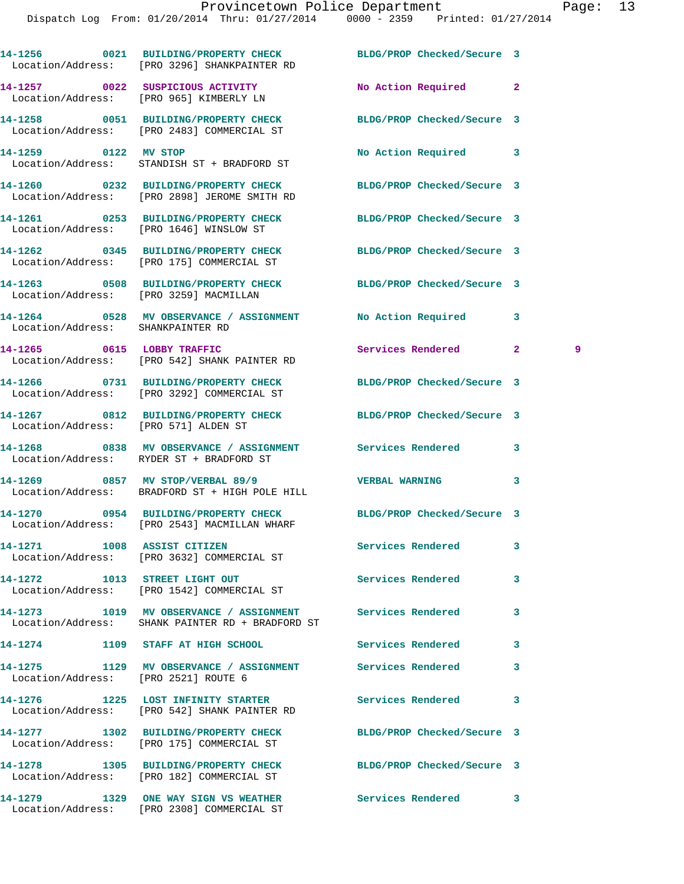|                                        | 14-1256 0021 BUILDING/PROPERTY CHECK<br>Location/Address: [PRO 3296] SHANKPAINTER RD                            | BLDG/PROP Checked/Secure 3 |                     |
|----------------------------------------|-----------------------------------------------------------------------------------------------------------------|----------------------------|---------------------|
|                                        | 14-1257 0022 SUSPICIOUS ACTIVITY<br>Location/Address: [PRO 965] KIMBERLY LN                                     | No Action Required         | $\mathbf{2}$        |
|                                        | 14-1258 0051 BUILDING/PROPERTY CHECK BLDG/PROP Checked/Secure 3<br>Location/Address: [PRO 2483] COMMERCIAL ST   |                            |                     |
| 14-1259 0122 MV STOP                   | Location/Address: STANDISH ST + BRADFORD ST                                                                     | <b>No Action Required</b>  | 3                   |
|                                        | 14-1260 0232 BUILDING/PROPERTY CHECK BLDG/PROP Checked/Secure 3<br>Location/Address: [PRO 2898] JEROME SMITH RD |                            |                     |
|                                        | 14-1261 0253 BUILDING/PROPERTY CHECK BLDG/PROP Checked/Secure 3<br>Location/Address: [PRO 1646] WINSLOW ST      |                            |                     |
|                                        | 14-1262 0345 BUILDING/PROPERTY CHECK BLDG/PROP Checked/Secure 3<br>Location/Address: [PRO 175] COMMERCIAL ST    |                            |                     |
| Location/Address: [PRO 3259] MACMILLAN | 14-1263 0508 BUILDING/PROPERTY CHECK BLDG/PROP Checked/Secure 3                                                 |                            |                     |
| Location/Address: SHANKPAINTER RD      | 14-1264 0528 MV OBSERVANCE / ASSIGNMENT No Action Required                                                      |                            | 3                   |
|                                        | 14-1265 0615 LOBBY TRAFFIC<br>Location/Address: [PRO 542] SHANK PAINTER RD                                      | Services Rendered          | $\mathbf{2}^-$<br>9 |
|                                        | 14-1266 0731 BUILDING/PROPERTY CHECK BLDG/PROP Checked/Secure 3<br>Location/Address: [PRO 3292] COMMERCIAL ST   |                            |                     |
| Location/Address: [PRO 571] ALDEN ST   | 14-1267 0812 BUILDING/PROPERTY CHECK BLDG/PROP Checked/Secure 3                                                 |                            |                     |
|                                        | 14-1268 6838 MV OBSERVANCE / ASSIGNMENT Services Rendered<br>Location/Address: RYDER ST + BRADFORD ST           |                            | 3                   |
|                                        | 14-1269 0857 MV STOP/VERBAL 89/9<br>Location/Address: BRADFORD ST + HIGH POLE HILL                              | <b>VERBAL WARNING</b>      | 3                   |
|                                        | 14-1270 0954 BUILDING/PROPERTY CHECK BLDG/PROP Checked/Secure 3<br>Location/Address: [PRO 2543] MACMILLAN WHARF |                            |                     |
| 14-1271 1008 ASSIST CITIZEN            | Location/Address: [PRO 3632] COMMERCIAL ST                                                                      | Services Rendered          | 3                   |
| 14-1272 1013 STREET LIGHT OUT          | Location/Address: [PRO 1542] COMMERCIAL ST                                                                      | Services Rendered          | 3                   |
|                                        | 14-1273 1019 MV OBSERVANCE / ASSIGNMENT Services Rendered<br>Location/Address: SHANK PAINTER RD + BRADFORD ST   |                            | 3                   |
|                                        | 14-1274 1109 STAFF AT HIGH SCHOOL                                                                               | <b>Services Rendered</b>   | 3                   |
| Location/Address: [PRO 2521] ROUTE 6   | 14-1275 1129 MV OBSERVANCE / ASSIGNMENT Services Rendered                                                       |                            | 3                   |
|                                        | 14-1276 1225 LOST INFINITY STARTER<br>Location/Address: [PRO 542] SHANK PAINTER RD                              | Services Rendered          | 3                   |
|                                        | 14-1277 1302 BUILDING/PROPERTY CHECK<br>Location/Address: [PRO 175] COMMERCIAL ST                               | BLDG/PROP Checked/Secure 3 |                     |
|                                        | 14-1278 1305 BUILDING/PROPERTY CHECK BLDG/PROP Checked/Secure 3<br>Location/Address: [PRO 182] COMMERCIAL ST    |                            |                     |
|                                        | 14-1279 1329 ONE WAY SIGN VS WEATHER Services Rendered<br>Location/Address: [PRO 2308] COMMERCIAL ST            |                            | 3                   |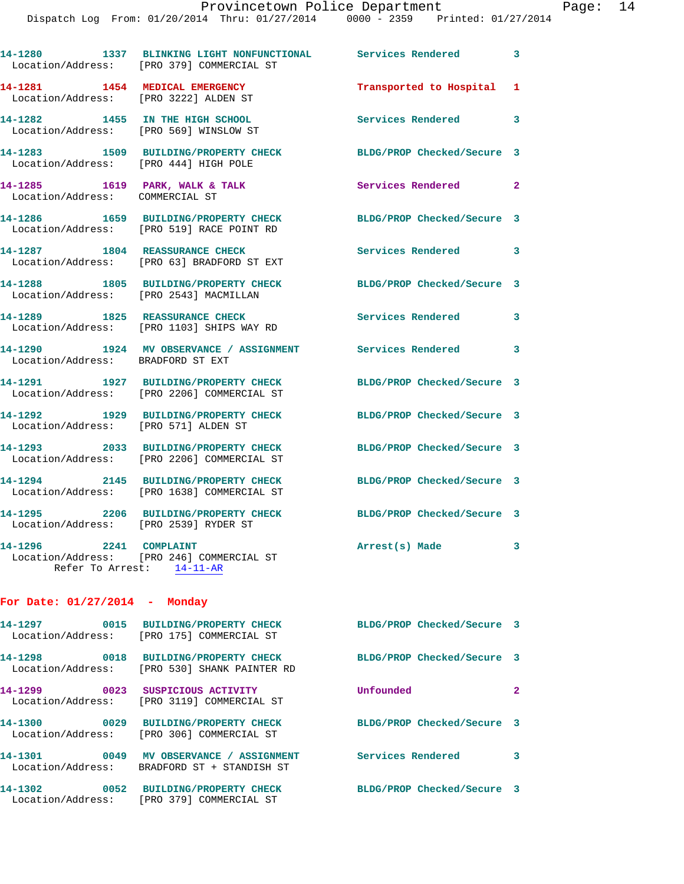|                                                                         | 14-1280 1337 BLINKING LIGHT NONFUNCTIONAL Services Rendered 3<br>Location/Address: [PRO 379] COMMERCIAL ST |                            |              |
|-------------------------------------------------------------------------|------------------------------------------------------------------------------------------------------------|----------------------------|--------------|
| 14-1281 1454 MEDICAL EMERGENCY<br>Location/Address: [PRO 3222] ALDEN ST |                                                                                                            | Transported to Hospital 1  |              |
| 14-1282 1455 IN THE HIGH SCHOOL                                         | Location/Address: [PRO 569] WINSLOW ST                                                                     | Services Rendered 3        |              |
| Location/Address: [PRO 444] HIGH POLE                                   | 14-1283 1509 BUILDING/PROPERTY CHECK                                                                       | BLDG/PROP Checked/Secure 3 |              |
| Location/Address: COMMERCIAL ST                                         | 14-1285 1619 PARK, WALK & TALK                                                                             | Services Rendered          | $\mathbf{2}$ |
|                                                                         | 14-1286 1659 BUILDING/PROPERTY CHECK<br>Location/Address: [PRO 519] RACE POINT RD                          | BLDG/PROP Checked/Secure 3 |              |
|                                                                         | 14-1287 1804 REASSURANCE CHECK<br>Location/Address: [PRO 63] BRADFORD ST EXT                               | <b>Services Rendered</b>   | 3            |
| Location/Address: [PRO 2543] MACMILLAN                                  | 14-1288 1805 BUILDING/PROPERTY CHECK                                                                       | BLDG/PROP Checked/Secure 3 |              |
|                                                                         | 14-1289 1825 REASSURANCE CHECK<br>Location/Address: [PRO 1103] SHIPS WAY RD                                | Services Rendered          | 3            |
| Location/Address: BRADFORD ST EXT                                       | 14-1290 1924 MV OBSERVANCE / ASSIGNMENT Services Rendered 3                                                |                            |              |
|                                                                         | 14-1291 1927 BUILDING/PROPERTY CHECK<br>Location/Address: [PRO 2206] COMMERCIAL ST                         | BLDG/PROP Checked/Secure 3 |              |
| Location/Address: [PRO 571] ALDEN ST                                    | 14-1292 1929 BUILDING/PROPERTY CHECK                                                                       | BLDG/PROP Checked/Secure 3 |              |
|                                                                         | 14-1293 2033 BUILDING/PROPERTY CHECK<br>Location/Address: [PRO 2206] COMMERCIAL ST                         | BLDG/PROP Checked/Secure 3 |              |
|                                                                         | 14-1294 2145 BUILDING/PROPERTY CHECK<br>Location/Address: [PRO 1638] COMMERCIAL ST                         | BLDG/PROP Checked/Secure 3 |              |
| Location/Address: [PRO 2539] RYDER ST                                   | 14-1295 2206 BUILDING/PROPERTY CHECK                                                                       | BLDG/PROP Checked/Secure 3 |              |
| 14-1296 2241 COMPLAINT                                                  | Location/Address: [PRO 246] COMMERCIAL ST<br>Refer To Arrest: 14-11-AR                                     | Arrest(s) Made             | 3            |
| For Date: $01/27/2014$ - Monday                                         |                                                                                                            |                            |              |
|                                                                         | 14-1297 0015 BUILDING/PROPERTY CHECK<br>Location/Address: [PRO 175] COMMERCIAL ST                          | BLDG/PROP Checked/Secure 3 |              |
|                                                                         | 14-1298 0018 BUILDING/PROPERTY CHECK<br>Location/Address: [PRO 530] SHANK PAINTER RD                       | BLDG/PROP Checked/Secure 3 |              |
| 14-1299 0023 SUSPICIOUS ACTIVITY                                        | Location/Address: [PRO 3119] COMMERCIAL ST                                                                 | Unfounded                  | $\mathbf{2}$ |
|                                                                         | 14-1300 0029 BUILDING/PROPERTY CHECK<br>Location/Address: [PRO 306] COMMERCIAL ST                          | BLDG/PROP Checked/Secure 3 |              |
|                                                                         | 14-1301 0049 MV OBSERVANCE / ASSIGNMENT<br>Location/Address: BRADFORD ST + STANDISH ST                     | <b>Services Rendered</b>   | 3            |

Location/Address: [PRO 379] COMMERCIAL ST

**14-1302 0052 BUILDING/PROPERTY CHECK BLDG/PROP Checked/Secure 3**